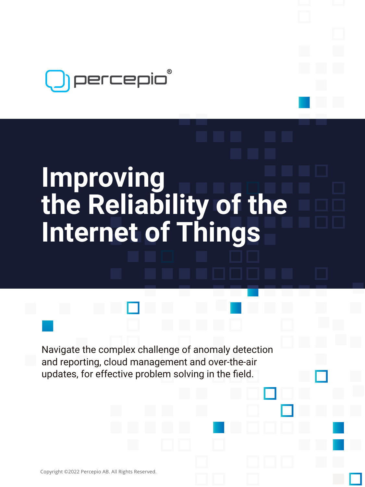

# **Improving the Reliability of the Internet of Things**

Navigate the complex challenge of anomaly detection and reporting, cloud management and over-the-air updates, for effective problem solving in the field.

Copyright ©2022 Percepio AB. All Rights Reserved.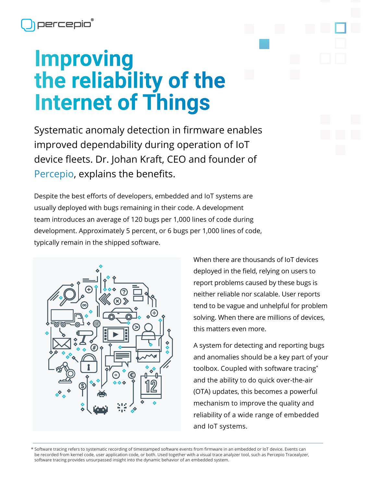## **Improving the reliability of the Internet of Things**

Systematic anomaly detection in firmware enables improved dependability during operation of IoT device fleets. Dr. Johan Kraft, CEO and founder of [Percepio](https://percepio.com/), explains the benefits.

Despite the best efforts of developers, embedded and IoT systems are usually deployed with bugs remaining in their code. A development team introduces an average of 120 bugs per 1,000 lines of code during development. Approximately 5 percent, or 6 bugs per 1,000 lines of code, typically remain in the shipped software.



When there are thousands of IoT devices deployed in the field, relying on users to report problems caused by these bugs is neither reliable nor scalable. User reports tend to be vague and unhelpful for problem solving. When there are millions of devices, this matters even more.

A system for detecting and reporting bugs and anomalies should be a key part of your toolbox. Coupled with software tracing\* and the ability to do quick over-the-air (OTA) updates, this becomes a powerful mechanism to improve the quality and reliability of a wide range of embedded and IoT systems.

\* Software tracing refers to systematic recording of timestamped software events from firmware in an embedded or IoT device. Events can be recorded from kernel code, user application code, or both. Used together with a visual trace analyzer tool, such as Percepio Tracealyzer, software tracing provides unsurpassed insight into the dynamic behavior of an embedded system.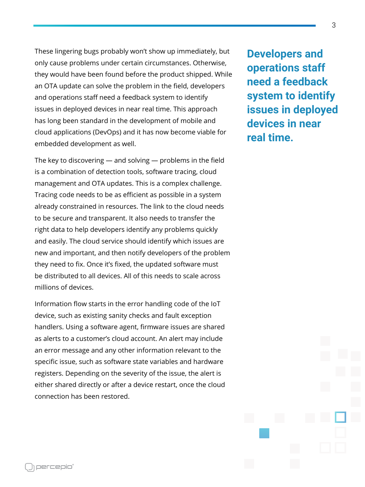These lingering bugs probably won't show up immediately, but only cause problems under certain circumstances. Otherwise, they would have been found before the product shipped. While an OTA update can solve the problem in the field, developers and operations staff need a feedback system to identify issues in deployed devices in near real time. This approach has long been standard in the development of mobile and cloud applications (DevOps) and it has now become viable for embedded development as well.

The key to discovering — and solving — problems in the field is a combination of detection tools, software tracing, cloud management and OTA updates. This is a complex challenge. Tracing code needs to be as efficient as possible in a system already constrained in resources. The link to the cloud needs to be secure and transparent. It also needs to transfer the right data to help developers identify any problems quickly and easily. The cloud service should identify which issues are new and important, and then notify developers of the problem they need to fix. Once it's fixed, the updated software must be distributed to all devices. All of this needs to scale across millions of devices.

Information flow starts in the error handling code of the IoT device, such as existing sanity checks and fault exception handlers. Using a software agent, firmware issues are shared as alerts to a customer's cloud account. An alert may include an error message and any other information relevant to the specific issue, such as software state variables and hardware registers. Depending on the severity of the issue, the alert is either shared directly or after a device restart, once the cloud connection has been restored.

**Developers and operations staff need a feedback system to identify issues in deployed devices in near real time.**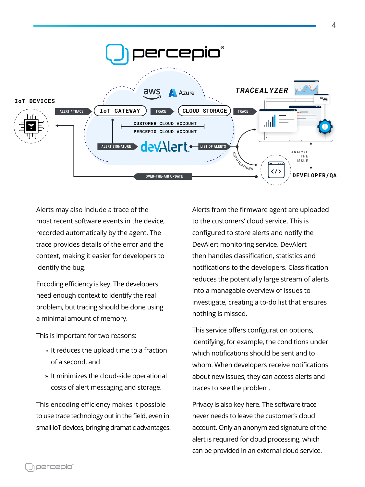

Alerts may also include a trace of the most recent software events in the device, recorded automatically by the agent. The trace provides details of the error and the context, making it easier for developers to identify the bug.

Encoding efficiency is key. The developers need enough context to identify the real problem, but tracing should be done using a minimal amount of memory.

This is important for two reasons:

- » It reduces the upload time to a fraction of a second, and
- » It minimizes the cloud-side operational costs of alert messaging and storage.

This encoding efficiency makes it possible to use trace technology out in the field, even in small IoT devices, bringing dramatic advantages. Alerts from the firmware agent are uploaded to the customers' cloud service. This is configured to store alerts and notify the DevAlert monitoring service. DevAlert then handles classification, statistics and notifications to the developers. Classification reduces the potentially large stream of alerts into a managable overview of issues to investigate, creating a to-do list that ensures nothing is missed.

This service offers configuration options, identifying, for example, the conditions under which notifications should be sent and to whom. When developers receive notifications about new issues, they can access alerts and traces to see the problem.

Privacy is also key here. The software trace never needs to leave the customer's cloud account. Only an anonymized signature of the alert is required for cloud processing, which can be provided in an external cloud service.